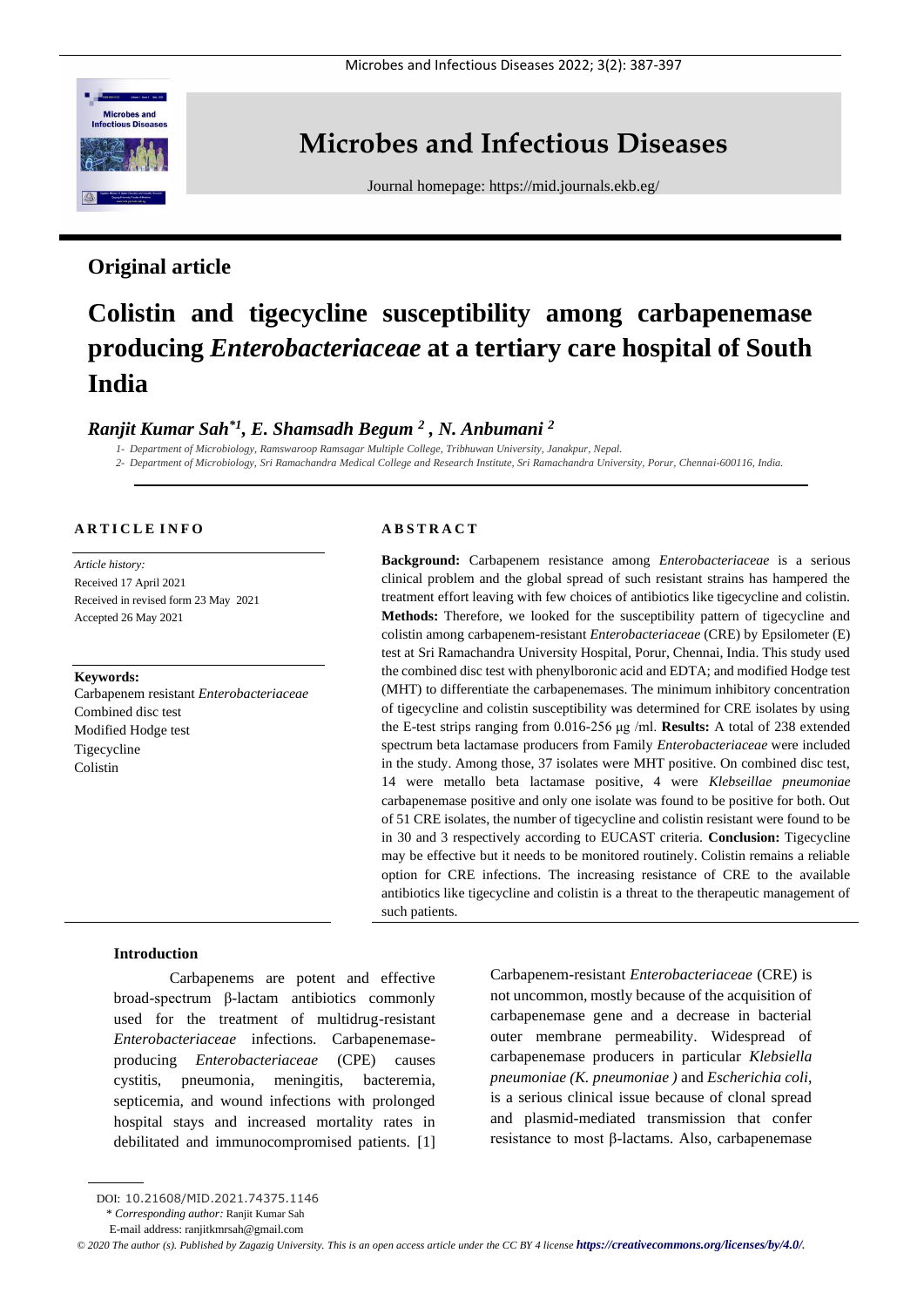

# **Microbes and Infectious Diseases**

Journal homepage:<https://mid.journals.ekb.eg/>

# **Original article**

# **Colistin and tigecycline susceptibility among carbapenemase producing** *Enterobacteriaceae* **at a tertiary care hospital of South India**

# *Ranjit Kumar Sah\*1, E. Shamsadh Begum <sup>2</sup> , N. Anbumani <sup>2</sup>*

*1- Department of Microbiology, Ramswaroop Ramsagar Multiple College, Tribhuwan University, Janakpur, Nepal. 2- Department of Microbiology, Sri Ramachandra Medical College and Research Institute, Sri Ramachandra University, Porur, Chennai-600116, India.*

# **A R T I C L E I N F O**

*Article history:*  Received 17 April 2021 Received in revised form 23 May 2021 Accepted 26 May 2021

#### **Keywords:**

Carbapenem resistant *Enterobacteriaceae*  Combined disc test Modified Hodge test Tigecycline Colistin

#### **A B S T R A C T**

**Background:** Carbapenem resistance among *Enterobacteriaceae* is a serious clinical problem and the global spread of such resistant strains has hampered the treatment effort leaving with few choices of antibiotics like tigecycline and colistin. **Methods:** Therefore, we looked for the susceptibility pattern of tigecycline and colistin among carbapenem-resistant *Enterobacteriaceae* (CRE) by Epsilometer (E) test at Sri Ramachandra University Hospital, Porur, Chennai, India. This study used the combined disc test with phenylboronic acid and EDTA; and modified Hodge test (MHT) to differentiate the carbapenemases. The minimum inhibitory concentration of tigecycline and colistin susceptibility was determined for CRE isolates by using the E-test strips ranging from 0.016-256 μg /ml. **Results:** A total of 238 extended spectrum beta lactamase producers from Family *Enterobacteriaceae* were included in the study. Among those, 37 isolates were MHT positive. On combined disc test, 14 were metallo beta lactamase positive, 4 were *Klebseillae pneumoniae* carbapenemase positive and only one isolate was found to be positive for both. Out of 51 CRE isolates, the number of tigecycline and colistin resistant were found to be in 30 and 3 respectively according to EUCAST criteria. **Conclusion:** Tigecycline may be effective but it needs to be monitored routinely. Colistin remains a reliable option for CRE infections. The increasing resistance of CRE to the available antibiotics like tigecycline and colistin is a threat to the therapeutic management of such patients.

# **Introduction**

Carbapenems are potent and effective broad-spectrum β-lactam antibiotics commonly used for the treatment of multidrug-resistant *Enterobacteriaceae* infections. Carbapenemaseproducing *Enterobacteriaceae* (CPE) causes cystitis, pneumonia, meningitis, bacteremia, septicemia, and wound infections with prolonged hospital stays and increased mortality rates in debilitated and immunocompromised patients. [1] Carbapenem-resistant *Enterobacteriaceae* (CRE) is not uncommon, mostly because of the acquisition of carbapenemase gene and a decrease in bacterial outer membrane permeability. Widespread of carbapenemase producers in particular *Klebsiella pneumoniae (K. pneumoniae )* and *Escherichia coli*, is a serious clinical issue because of clonal spread and plasmid-mediated transmission that confer resistance to most β-lactams. Also, carbapenemase

DOI: 10.21608/MID.2021.74375.1146

<sup>\*</sup> *Corresponding author:* Ranjit Kumar Sah

E-mail address: ranjitkmrsah@gmail.com

*<sup>©</sup> 2020 The author (s). Published by Zagazig University. This is an open access article under the CC BY 4 license <https://creativecommons.org/licenses/by/4.0/>.*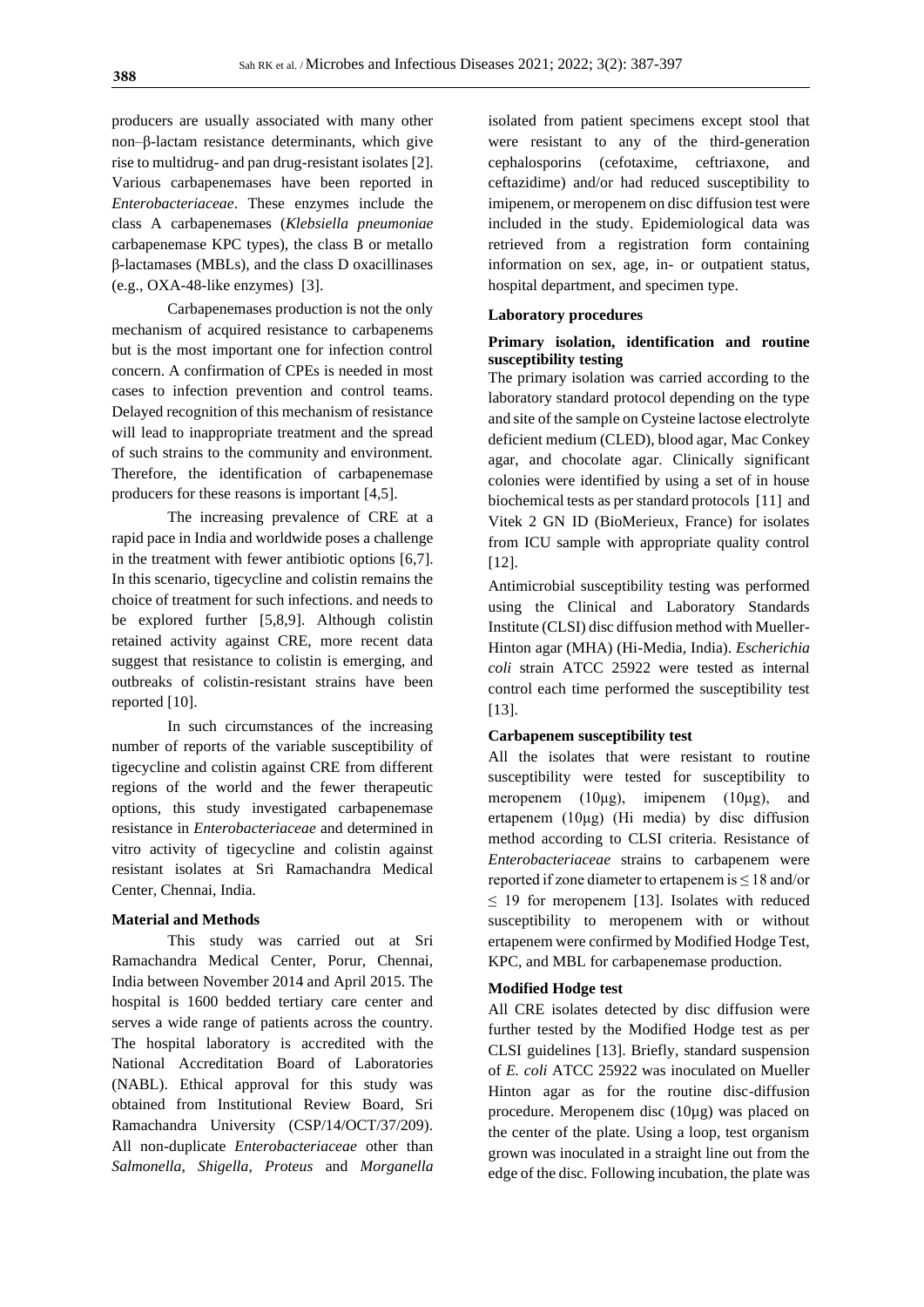producers are usually associated with many other non–β-lactam resistance determinants, which give rise to multidrug- and pan drug-resistant isolates [2]. Various carbapenemases have been reported in *Enterobacteriaceae*. These enzymes include the class A carbapenemases (*Klebsiella pneumoniae* carbapenemase KPC types), the class B or metallo β-lactamases (MBLs), and the class D oxacillinases (e.g., OXA-48-like enzymes) [3].

Carbapenemases production is not the only mechanism of acquired resistance to carbapenems but is the most important one for infection control concern. A confirmation of CPEs is needed in most cases to infection prevention and control teams. Delayed recognition of this mechanism of resistance will lead to inappropriate treatment and the spread of such strains to the community and environment. Therefore, the identification of carbapenemase producers for these reasons is important [4,5].

The increasing prevalence of CRE at a rapid pace in India and worldwide poses a challenge in the treatment with fewer antibiotic options [6,7]. In this scenario, tigecycline and colistin remains the choice of treatment for such infections. and needs to be explored further [5,8,9]. Although colistin retained activity against CRE, more recent data suggest that resistance to colistin is emerging, and outbreaks of colistin-resistant strains have been reported [10].

In such circumstances of the increasing number of reports of the variable susceptibility of tigecycline and colistin against CRE from different regions of the world and the fewer therapeutic options, this study investigated carbapenemase resistance in *Enterobacteriaceae* and determined in vitro activity of tigecycline and colistin against resistant isolates at Sri Ramachandra Medical Center, Chennai, India.

#### **Material and Methods**

This study was carried out at Sri Ramachandra Medical Center, Porur, Chennai, India between November 2014 and April 2015. The hospital is 1600 bedded tertiary care center and serves a wide range of patients across the country. The hospital laboratory is accredited with the National Accreditation Board of Laboratories (NABL). Ethical approval for this study was obtained from Institutional Review Board, Sri Ramachandra University (CSP/14/OCT/37/209). All non-duplicate *Enterobacteriaceae* other than *Salmonella*, *Shigella*, *Proteus* and *Morganella* 

isolated from patient specimens except stool that were resistant to any of the third-generation cephalosporins (cefotaxime, ceftriaxone, and ceftazidime) and/or had reduced susceptibility to imipenem, or meropenem on disc diffusion test were included in the study. Epidemiological data was retrieved from a registration form containing information on sex, age, in- or outpatient status, hospital department, and specimen type.

# **Laboratory procedures**

# **Primary isolation, identification and routine susceptibility testing**

The primary isolation was carried according to the laboratory standard protocol depending on the type and site of the sample on Cysteine lactose electrolyte deficient medium (CLED), blood agar, Mac Conkey agar, and chocolate agar. Clinically significant colonies were identified by using a set of in house biochemical tests as per standard protocols [11] and Vitek 2 GN ID (BioMerieux, France) for isolates from ICU sample with appropriate quality control [12].

Antimicrobial susceptibility testing was performed using the Clinical and Laboratory Standards Institute (CLSI) disc diffusion method with Mueller-Hinton agar (MHA) (Hi-Media, India). *Escherichia coli* strain ATCC 25922 were tested as internal control each time performed the susceptibility test [13].

#### **Carbapenem susceptibility test**

All the isolates that were resistant to routine susceptibility were tested for susceptibility to meropenem (10μg), imipenem (10μg), and ertapenem (10μg) (Hi media) by disc diffusion method according to CLSI criteria. Resistance of *Enterobacteriaceae* strains to carbapenem were reported if zone diameter to ertapenem is ≤ 18 and/or  $\leq$  19 for meropenem [13]. Isolates with reduced susceptibility to meropenem with or without ertapenem were confirmed by Modified Hodge Test, KPC, and MBL for carbapenemase production.

#### **Modified Hodge test**

All CRE isolates detected by disc diffusion were further tested by the Modified Hodge test as per CLSI guidelines [13]. Briefly, standard suspension of *E. coli* ATCC 25922 was inoculated on Mueller Hinton agar as for the routine disc-diffusion procedure. Meropenem disc (10µg) was placed on the center of the plate. Using a loop, test organism grown was inoculated in a straight line out from the edge of the disc. Following incubation, the plate was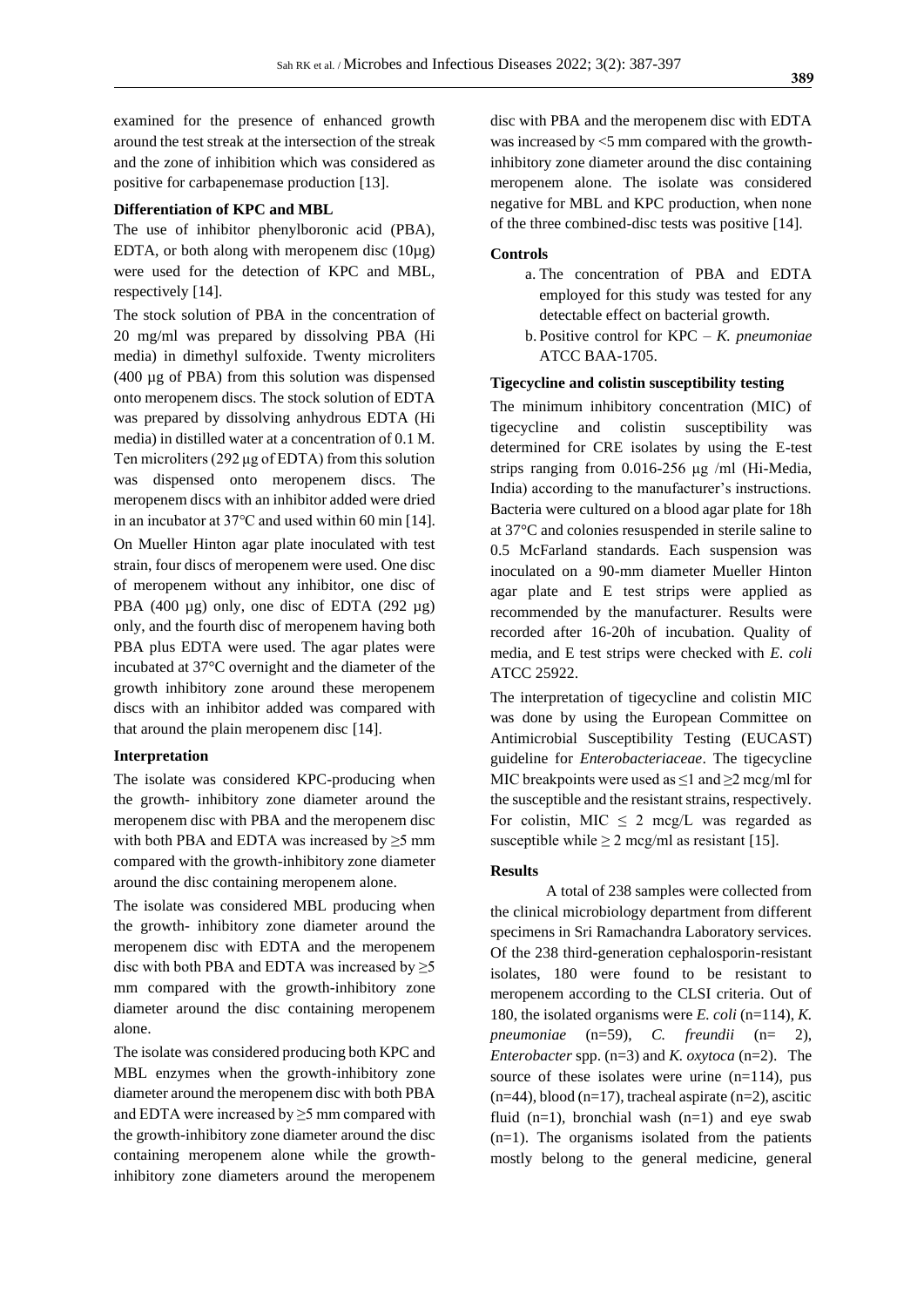examined for the presence of enhanced growth around the test streak at the intersection of the streak and the zone of inhibition which was considered as positive for carbapenemase production [13].

#### **Differentiation of KPC and MBL**

The use of inhibitor phenylboronic acid (PBA), EDTA, or both along with meropenem disc  $(10\mu$ g) were used for the detection of KPC and MBL, respectively [14].

The stock solution of PBA in the concentration of 20 mg/ml was prepared by dissolving PBA (Hi media) in dimethyl sulfoxide. Twenty microliters (400 µg of PBA) from this solution was dispensed onto meropenem discs. The stock solution of EDTA was prepared by dissolving anhydrous EDTA (Hi media) in distilled water at a concentration of 0.1 M. Ten microliters (292 μg of EDTA) from this solution was dispensed onto meropenem discs. The meropenem discs with an inhibitor added were dried in an incubator at 37℃ and used within 60 min [14]. On Mueller Hinton agar plate inoculated with test strain, four discs of meropenem were used. One disc of meropenem without any inhibitor, one disc of PBA (400  $\mu$ g) only, one disc of EDTA (292  $\mu$ g) only, and the fourth disc of meropenem having both PBA plus EDTA were used. The agar plates were incubated at 37°C overnight and the diameter of the growth inhibitory zone around these meropenem discs with an inhibitor added was compared with that around the plain meropenem disc [14].

#### **Interpretation**

The isolate was considered KPC-producing when the growth- inhibitory zone diameter around the meropenem disc with PBA and the meropenem disc with both PBA and EDTA was increased by  $\geq$ 5 mm compared with the growth-inhibitory zone diameter around the disc containing meropenem alone.

The isolate was considered MBL producing when the growth- inhibitory zone diameter around the meropenem disc with EDTA and the meropenem disc with both PBA and EDTA was increased by  $\geq 5$ mm compared with the growth-inhibitory zone diameter around the disc containing meropenem alone.

The isolate was considered producing both KPC and MBL enzymes when the growth-inhibitory zone diameter around the meropenem disc with both PBA and EDTA were increased by  $\geq$ 5 mm compared with the growth-inhibitory zone diameter around the disc containing meropenem alone while the growthinhibitory zone diameters around the meropenem

disc with PBA and the meropenem disc with EDTA was increased by <5 mm compared with the growthinhibitory zone diameter around the disc containing meropenem alone. The isolate was considered negative for MBL and KPC production, when none of the three combined-disc tests was positive [14].

#### **Controls**

- a. The concentration of PBA and EDTA employed for this study was tested for any detectable effect on bacterial growth.
- b. Positive control for KPC *K. pneumoniae* ATCC BAA-1705.

# **Tigecycline and colistin susceptibility testing**

The minimum inhibitory concentration (MIC) of tigecycline and colistin susceptibility was determined for CRE isolates by using the E-test strips ranging from 0.016-256 μg /ml (Hi-Media, India) according to the manufacturer's instructions. Bacteria were cultured on a blood agar plate for 18h at 37°C and colonies resuspended in sterile saline to 0.5 McFarland standards. Each suspension was inoculated on a 90-mm diameter Mueller Hinton agar plate and E test strips were applied as recommended by the manufacturer. Results were recorded after 16-20h of incubation. Quality of media, and E test strips were checked with *E. coli*  ATCC 25922.

The interpretation of tigecycline and colistin MIC was done by using the European Committee on Antimicrobial Susceptibility Testing (EUCAST) guideline for *Enterobacteriaceae*. The tigecycline MIC breakpoints were used as  $\leq 1$  and  $\geq 2$  mcg/ml for the susceptible and the resistant strains, respectively. For colistin, MIC  $\leq$  2 mcg/L was regarded as susceptible while  $\geq 2$  mcg/ml as resistant [15].

#### **Results**

A total of 238 samples were collected from the clinical microbiology department from different specimens in Sri Ramachandra Laboratory services. Of the 238 third-generation cephalosporin-resistant isolates, 180 were found to be resistant to meropenem according to the CLSI criteria. Out of 180, the isolated organisms were *E. coli* (n=114), *K. pneumoniae* (n=59), *C. freundii* (n= 2), *Enterobacter* spp. (n=3) and *K. oxytoca* (n=2). The source of these isolates were urine  $(n=114)$ , pus  $(n=44)$ , blood  $(n=17)$ , tracheal aspirate  $(n=2)$ , ascitic fluid  $(n=1)$ , bronchial wash  $(n=1)$  and eye swab (n=1). The organisms isolated from the patients mostly belong to the general medicine, general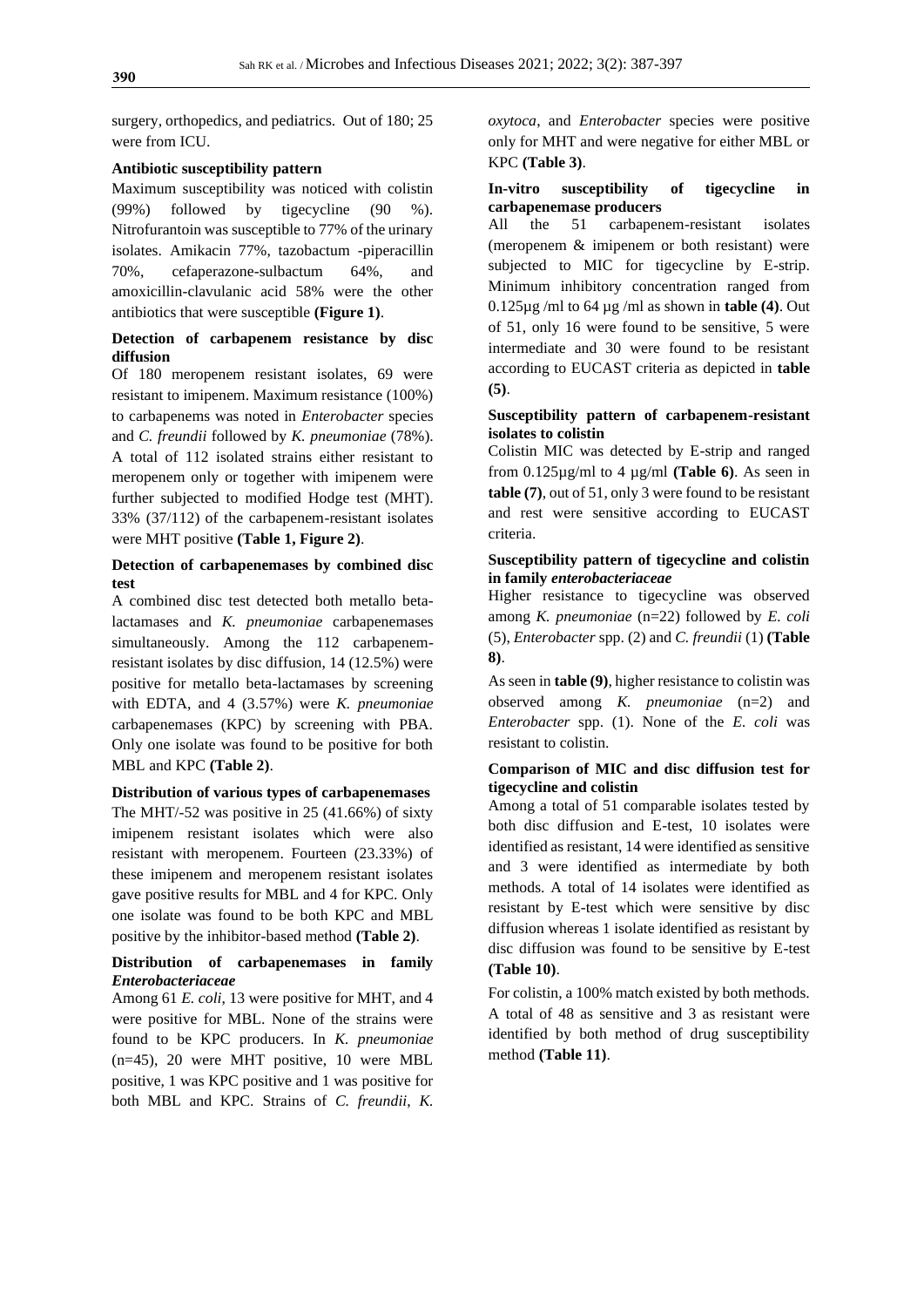surgery, orthopedics, and pediatrics. Out of 180; 25 were from ICU.

#### **Antibiotic susceptibility pattern**

Maximum susceptibility was noticed with colistin (99%) followed by tigecycline (90 %). Nitrofurantoin was susceptible to 77% of the urinary isolates. Amikacin 77%, tazobactum -piperacillin 70%, cefaperazone-sulbactum 64%, and amoxicillin-clavulanic acid 58% were the other antibiotics that were susceptible **(Figure 1)**.

## **Detection of carbapenem resistance by disc diffusion**

Of 180 meropenem resistant isolates, 69 were resistant to imipenem. Maximum resistance (100%) to carbapenems was noted in *Enterobacter* species and *C. freundii* followed by *K. pneumoniae* (78%). A total of 112 isolated strains either resistant to meropenem only or together with imipenem were further subjected to modified Hodge test (MHT). 33% (37/112) of the carbapenem-resistant isolates were MHT positive **(Table 1, Figure 2)**.

## **Detection of carbapenemases by combined disc test**

A combined disc test detected both metallo betalactamases and *K. pneumoniae* carbapenemases simultaneously. Among the 112 carbapenemresistant isolates by disc diffusion, 14 (12.5%) were positive for metallo beta-lactamases by screening with EDTA, and 4 (3.57%) were *K. pneumoniae* carbapenemases (KPC) by screening with PBA. Only one isolate was found to be positive for both MBL and KPC **(Table 2)**.

#### **Distribution of various types of carbapenemases**

The MHT/-52 was positive in 25 (41.66%) of sixty imipenem resistant isolates which were also resistant with meropenem. Fourteen (23.33%) of these imipenem and meropenem resistant isolates gave positive results for MBL and 4 for KPC. Only one isolate was found to be both KPC and MBL positive by the inhibitor-based method **(Table 2)**.

# **Distribution of carbapenemases in family**  *Enterobacteriaceae*

Among 61 *E. coli*, 13 were positive for MHT, and 4 were positive for MBL. None of the strains were found to be KPC producers. In *K. pneumoniae* (n=45), 20 were MHT positive, 10 were MBL positive, 1 was KPC positive and 1 was positive for both MBL and KPC. Strains of *C. freundii*, *K.*

*oxytoca*, and *Enterobacter* species were positive only for MHT and were negative for either MBL or KPC **(Table 3)**.

#### **In-vitro susceptibility of tigecycline in carbapenemase producers**

All the 51 carbapenem-resistant isolates (meropenem & imipenem or both resistant) were subjected to MIC for tigecycline by E-strip. Minimum inhibitory concentration ranged from 0.125µg /ml to 64 µg /ml as shown in **table (4)**. Out of 51, only 16 were found to be sensitive, 5 were intermediate and 30 were found to be resistant according to EUCAST criteria as depicted in **table (5)**.

# **Susceptibility pattern of carbapenem-resistant isolates to colistin**

Colistin MIC was detected by E-strip and ranged from 0.125µg/ml to 4 µg/ml **(Table 6)**. As seen in **table (7)**, out of 51, only 3 were found to be resistant and rest were sensitive according to EUCAST criteria.

# **Susceptibility pattern of tigecycline and colistin in family** *enterobacteriaceae*

Higher resistance to tigecycline was observed among *K. pneumoniae* (n=22) followed by *E. coli* (5), *Enterobacter* spp. (2) and *C. freundii* (1) **(Table 8)**.

As seen in **table (9)**, higher resistance to colistin was observed among *K. pneumoniae* (n=2) and *Enterobacter* spp. (1). None of the *E. coli* was resistant to colistin.

# **Comparison of MIC and disc diffusion test for tigecycline and colistin**

Among a total of 51 comparable isolates tested by both disc diffusion and E-test, 10 isolates were identified as resistant, 14 were identified as sensitive and 3 were identified as intermediate by both methods. A total of 14 isolates were identified as resistant by E-test which were sensitive by disc diffusion whereas 1 isolate identified as resistant by disc diffusion was found to be sensitive by E-test **(Table 10)**.

For colistin, a 100% match existed by both methods. A total of 48 as sensitive and 3 as resistant were identified by both method of drug susceptibility method **(Table 11)**.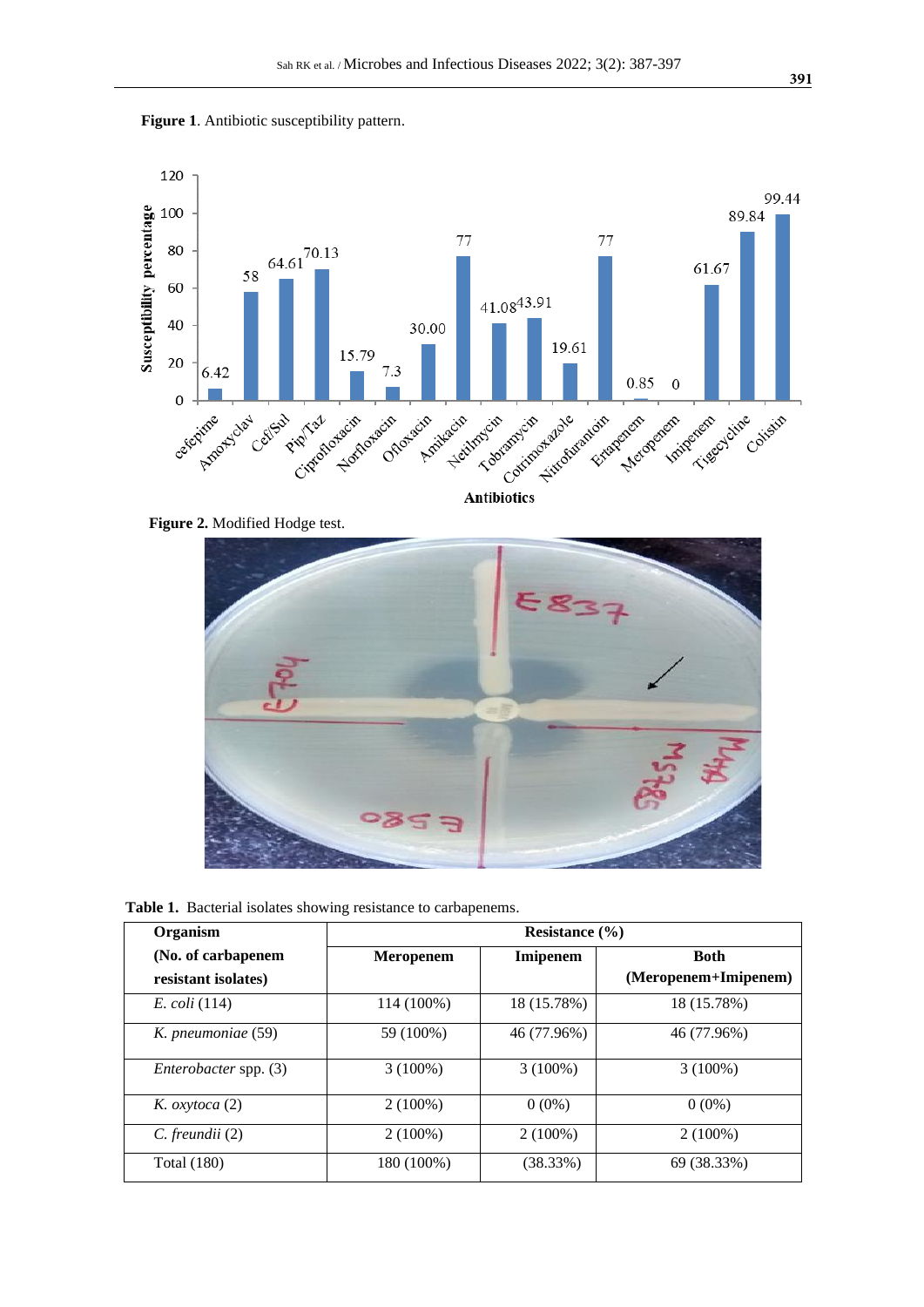



 **Figure 2.** Modified Hodge test.



 **Table 1.** Bacterial isolates showing resistance to carbapenems.

| Organism                                  |                  | Resistance $(\% )$ |                                     |  |  |  |
|-------------------------------------------|------------------|--------------------|-------------------------------------|--|--|--|
| (No. of carbapenem<br>resistant isolates) | <b>Meropenem</b> | Imipenem           | <b>Both</b><br>(Meropenem+Imipenem) |  |  |  |
| $E. \, coli \, (114)$                     | 114 (100%)       | 18 (15.78%)        | 18 (15.78%)                         |  |  |  |
| K. pneumoniae (59)                        | 59 (100%)        | 46 (77.96%)        | 46 (77.96%)                         |  |  |  |
| Enterobacter spp. (3)                     | $3(100\%)$       | $3(100\%)$         | $3(100\%)$                          |  |  |  |
| K. $oxy to ca(2)$                         | $2(100\%)$       | $0(0\%)$           | $0(0\%)$                            |  |  |  |
| C. freundii (2)                           | $2(100\%)$       | $2(100\%)$         | $2(100\%)$                          |  |  |  |
| <b>Total</b> (180)                        | 180 (100%)       | (38.33%)           | 69 (38.33%)                         |  |  |  |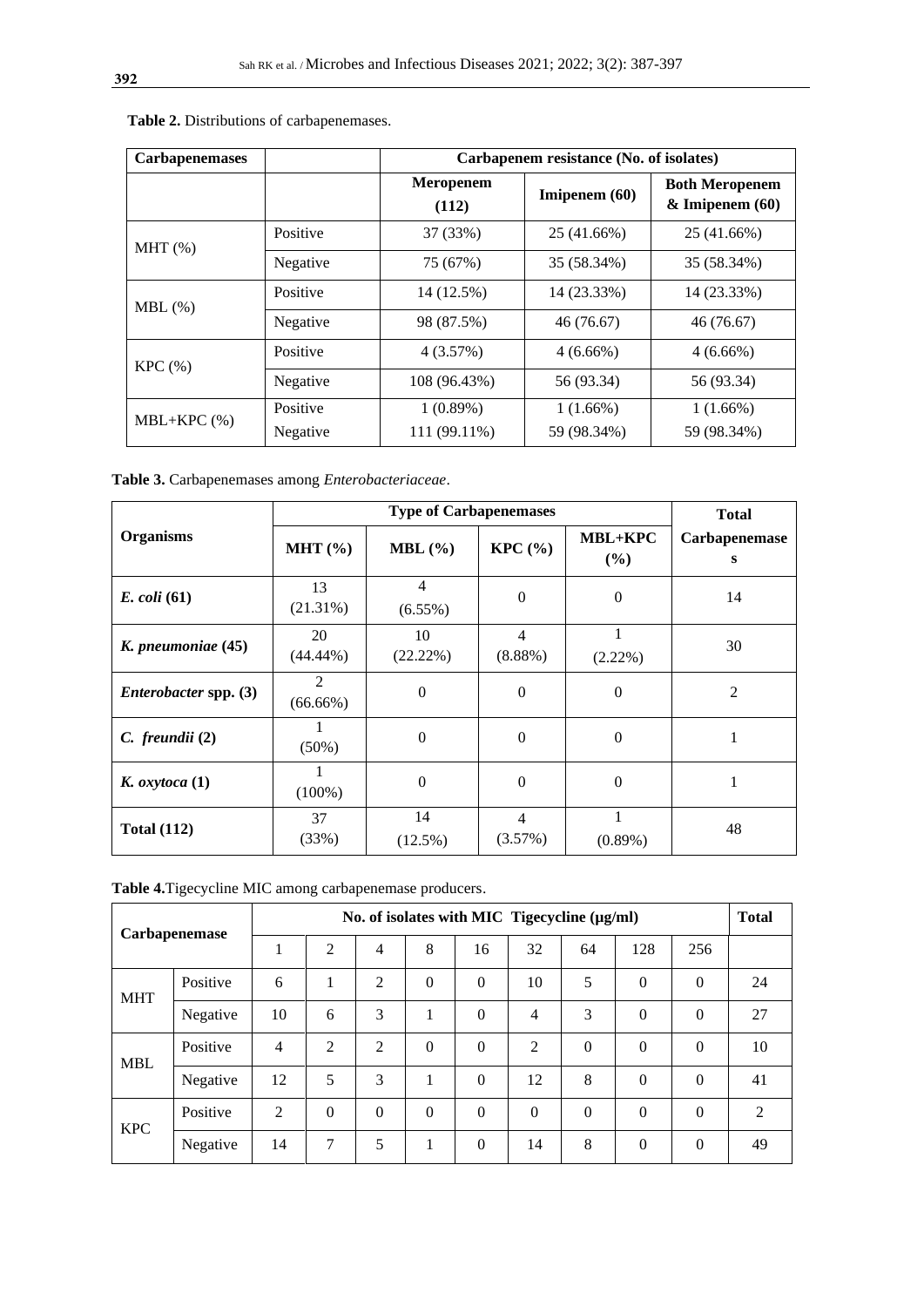| <b>Carbapenemases</b> |                      | Carbapenem resistance (No. of isolates) |                            |                                              |  |  |  |
|-----------------------|----------------------|-----------------------------------------|----------------------------|----------------------------------------------|--|--|--|
|                       |                      | <b>Meropenem</b><br>(112)               | Imipenem $(60)$            | <b>Both Meropenem</b><br>$&$ Imipenem $(60)$ |  |  |  |
| $MHT$ $%$ )           | Positive             | 37 (33%)                                | 25 (41.66%)                | 25 (41.66%)                                  |  |  |  |
|                       | Negative             | 75 (67%)                                | 35 (58.34%)                | 35 (58.34%)                                  |  |  |  |
| $MBL$ (%)             | Positive             | 14 (12.5%)                              | 14 (23.33%)                | 14 (23.33%)                                  |  |  |  |
|                       | Negative             | 98 (87.5%)                              | 46 (76.67)                 | 46 (76.67)                                   |  |  |  |
| KPC(%)                | Positive             | 4(3.57%)                                | $4(6.66\%)$                | $4(6.66\%)$                                  |  |  |  |
|                       | Negative             | 108 (96.43%)                            | 56 (93.34)                 | 56 (93.34)                                   |  |  |  |
| $MBL+KPC$ (%)         | Positive<br>Negative | $1(0.89\%)$<br>111 (99.11%)             | $1(1.66\%)$<br>59 (98.34%) | $1(1.66\%)$<br>59 (98.34%)                   |  |  |  |

 **Table 2.** Distributions of carbapenemases.

**Table 3.** Carbapenemases among *Enterobacteriaceae*.

|                              |                   | <b>Total</b>                 |                              |                       |                    |
|------------------------------|-------------------|------------------------------|------------------------------|-----------------------|--------------------|
| <b>Organisms</b>             | MHT $(\% )$       | $MBL$ (%)                    | KPC(%)                       | <b>MBL+KPC</b><br>(%) | Carbapenemase<br>S |
| $E.$ coli (61)               | 13<br>$(21.31\%)$ | $\overline{4}$<br>$(6.55\%)$ | $\Omega$                     | $\Omega$              | 14                 |
| K. pneumoniae (45)           | 20<br>$(44.44\%)$ | 10<br>(22.22%)               | $\overline{4}$<br>$(8.88\%)$ | $(2.22\%)$            | 30                 |
| <i>Enterobacter</i> spp. (3) | 2<br>$(66.66\%)$  | $\mathbf{0}$                 | $\Omega$                     | $\mathbf{0}$          | $\overline{2}$     |
| C. freundii (2)              | $(50\%)$          | $\mathbf{0}$                 | $\Omega$                     | $\Omega$              | 1                  |
| $K.$ oxytoca $(1)$           | $(100\%)$         | $\mathbf{0}$                 | $\Omega$                     | $\theta$              |                    |
| <b>Total (112)</b>           | 37<br>(33%)       | 14<br>$(12.5\%)$             | $\overline{4}$<br>(3.57%)    | 1<br>$(0.89\%)$       | 48                 |

**Table 4.**Tigecycline MIC among carbapenemase producers.

|            | <b>Carbapenemase</b> | No. of isolates with MIC Tigecycline (µg/ml) |          |          |              |                |                | <b>Total</b> |              |          |    |
|------------|----------------------|----------------------------------------------|----------|----------|--------------|----------------|----------------|--------------|--------------|----------|----|
|            |                      | 1                                            | 2        | 4        | 8            | 16             | 32             | 64           | 128          | 256      |    |
| <b>MHT</b> | Positive             | 6                                            | 1        | 2        | $\Omega$     | $\theta$       | 10             | 5            | $\Omega$     | $\Omega$ | 24 |
|            | Negative             | 10                                           | 6        | 3        | 1<br>л.      | $\theta$       | 4              | 3            | $\Omega$     | $\Omega$ | 27 |
| <b>MBL</b> | Positive             | $\overline{4}$                               | 2        | 2        | $\Omega$     | $\overline{0}$ | $\overline{2}$ | $\theta$     | $\mathbf{0}$ | $\Omega$ | 10 |
|            | Negative             | 12                                           | 5        | 3        |              | $\theta$       | 12             | 8            | $\Omega$     | $\Omega$ | 41 |
| <b>KPC</b> | Positive             | $\overline{2}$                               | $\Omega$ | $\Omega$ | $\Omega$     | $\Omega$       | $\theta$       | $\Omega$     | $\Omega$     | $\Omega$ | 2  |
|            | Negative             | 14                                           | 7        | 5        | $\mathbf{1}$ | $\overline{0}$ | 14             | 8            | $\mathbf{0}$ | $\Omega$ | 49 |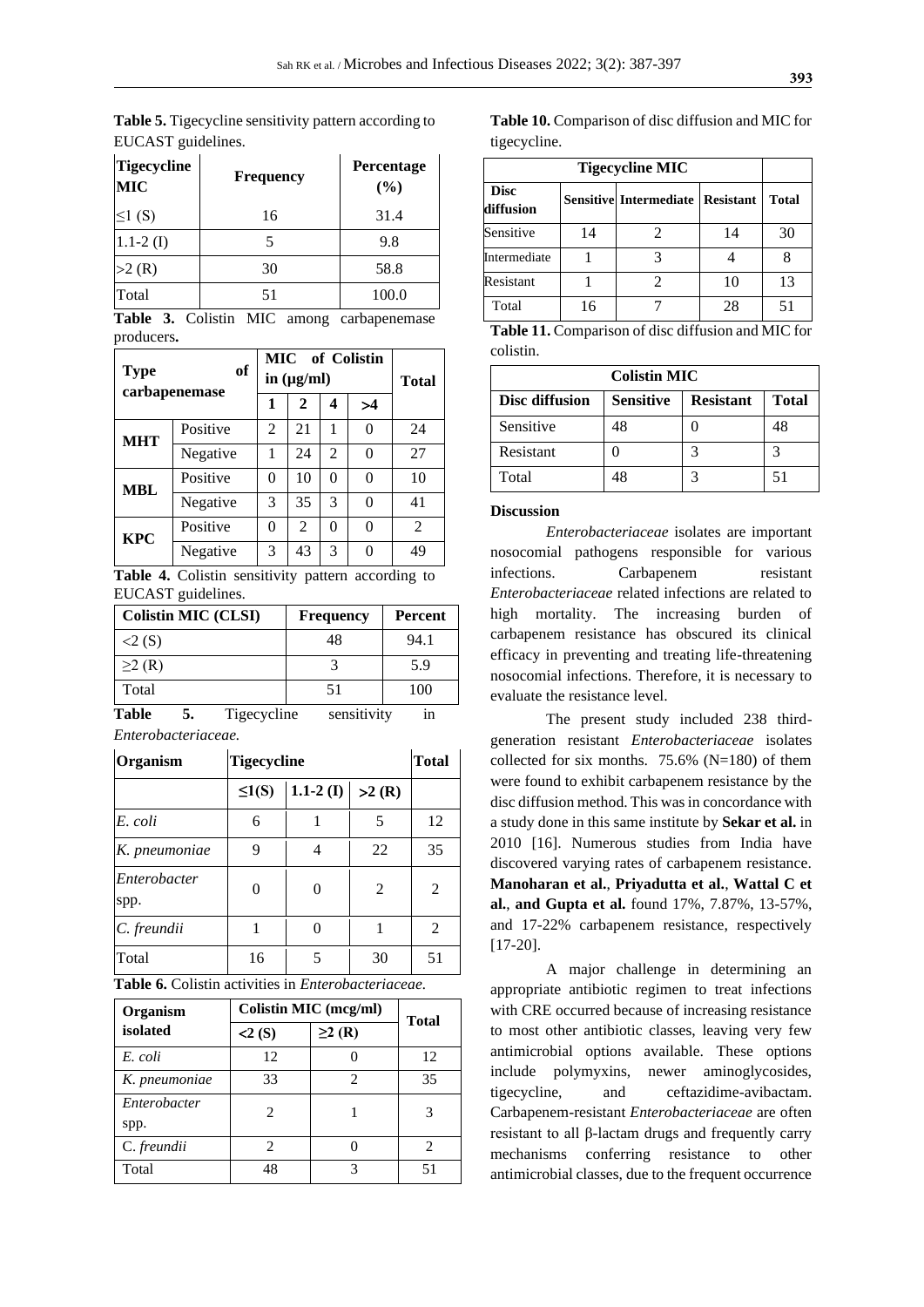**Table 5.** Tigecycline sensitivity pattern according to EUCAST guidelines.

| <b>Tigecycline</b><br><b>MIC</b> | <b>Frequency</b> | <b>Percentage</b><br>(%) |
|----------------------------------|------------------|--------------------------|
| $\leq1(S)$                       | 16               | 31.4                     |
| $1.1 - 2(I)$                     | 5                | 9.8                      |
| >2(R)                            | 30               | 58.8                     |
| Total                            | 51               | 100.0                    |

**Table 3.** Colistin MIC among carbapenemase producers**.** 

| of<br><b>Type</b><br>carbapenemase |          | <b>MIC</b> of Colistin<br>in $(\mu g/ml)$ | <b>Total</b>   |   |    |                |
|------------------------------------|----------|-------------------------------------------|----------------|---|----|----------------|
|                                    |          | 1                                         | $\mathbf{2}$   |   | >4 |                |
| <b>MHT</b>                         | Positive | 2                                         | 21             | 1 | 0  | 24             |
|                                    | Negative | 1                                         | 24             | 2 | 0  | 27             |
| MBL                                | Positive | 0                                         | 10             | 0 | 0  | 10             |
|                                    | Negative | 3                                         | 35             | 3 | 0  | 41             |
| <b>KPC</b>                         | Positive | 0                                         | $\mathfrak{D}$ | 0 | 0  | $\mathfrak{D}$ |
|                                    | Negative | 3                                         | 43             | 3 | 0  | 49             |

**Table 4.** Colistin sensitivity pattern according to EUCAST guidelines.

| <b>Colistin MIC (CLSI)</b> | <b>Frequency</b> | <b>Percent</b> |
|----------------------------|------------------|----------------|
| 2(S)                       | 48               | 94.1           |
| $\geq$ (R)                 |                  | 5.9            |
| Total                      | 51               | 100            |
| Table<br>Tigecycline       | sensitivity      | 1n             |

*Enterobacteriaceae.*

| Organism             |            | <b>Tigecycline</b> |                |    |  |  |
|----------------------|------------|--------------------|----------------|----|--|--|
|                      | $\leq1(S)$ | $1.1 - 2(I)$       | >2(R)          |    |  |  |
| E. coli              | 6          |                    | 5              | 12 |  |  |
| K. pneumoniae        | 9          | 4                  | 22             | 35 |  |  |
| Enterobacter<br>spp. | 0          | 0                  | $\overline{2}$ | 2  |  |  |
| C. freundii          |            | 0                  | 1              | 2  |  |  |
| Total                | 16         | 5                  | 30             | 51 |  |  |

**Table 6.** Colistin activities in *Enterobacteriaceae.*

| Organism             | Colistin MIC (mcg/ml) | <b>Total</b> |                             |
|----------------------|-----------------------|--------------|-----------------------------|
| isolated             | 2(S)                  | $\geq$ 2 (R) |                             |
| E. coli              | 12                    |              | 12                          |
| K. pneumoniae        | 33                    | 2            | 35                          |
| Enterobacter<br>spp. | 2                     |              | 3                           |
| C. freundii          | 2                     |              | $\mathcal{D}_{\mathcal{A}}$ |
| Total                | 48                    | 3            | 51                          |

**Table 10.** Comparison of disc diffusion and MIC for tigecycline.

| <b>Tigecycline MIC</b>   |                                         |              |    |    |  |  |
|--------------------------|-----------------------------------------|--------------|----|----|--|--|
| <b>Disc</b><br>diffusion | <b>Sensitive Intermediate Resistant</b> | <b>Total</b> |    |    |  |  |
| Sensitive                | 14                                      |              | 14 | 30 |  |  |
| Intermediate             |                                         |              |    |    |  |  |
| Resistant                |                                         |              | 10 | 13 |  |  |
| Total                    | 16                                      |              | 28 | 51 |  |  |

**Table 11.** Comparison of disc diffusion and MIC for colistin.

| <b>Colistin MIC</b>                                                    |    |   |    |  |  |  |
|------------------------------------------------------------------------|----|---|----|--|--|--|
| <b>Sensitive</b><br>Disc diffusion<br><b>Resistant</b><br><b>Total</b> |    |   |    |  |  |  |
| Sensitive                                                              | 48 |   | 48 |  |  |  |
| Resistant                                                              |    |   |    |  |  |  |
| Total                                                                  | 48 | 3 | 51 |  |  |  |

## **Discussion**

*Enterobacteriaceae* isolates are important nosocomial pathogens responsible for various infections. Carbapenem resistant *Enterobacteriaceae* related infections are related to high mortality. The increasing burden of carbapenem resistance has obscured its clinical efficacy in preventing and treating life-threatening nosocomial infections. Therefore, it is necessary to evaluate the resistance level.

The present study included 238 thirdgeneration resistant *Enterobacteriaceae* isolates collected for six months.  $75.6\%$  (N=180) of them were found to exhibit carbapenem resistance by the disc diffusion method. This was in concordance with a study done in this same institute by **Sekar et al.** in 2010 [16]. Numerous studies from India have discovered varying rates of carbapenem resistance. **Manoharan et al.**, **Priyadutta et al.**, **Wattal C et al.**, **and Gupta et al.** found 17%, 7.87%, 13-57%, and 17-22% carbapenem resistance, respectively [17-20].

A major challenge in determining an appropriate antibiotic regimen to treat infections with CRE occurred because of increasing resistance to most other antibiotic classes, leaving very few antimicrobial options available. These options include polymyxins, newer aminoglycosides, tigecycline, and ceftazidime-avibactam. Carbapenem-resistant *Enterobacteriaceae* are often resistant to all β-lactam drugs and frequently carry mechanisms conferring resistance to other antimicrobial classes, due to the frequent occurrence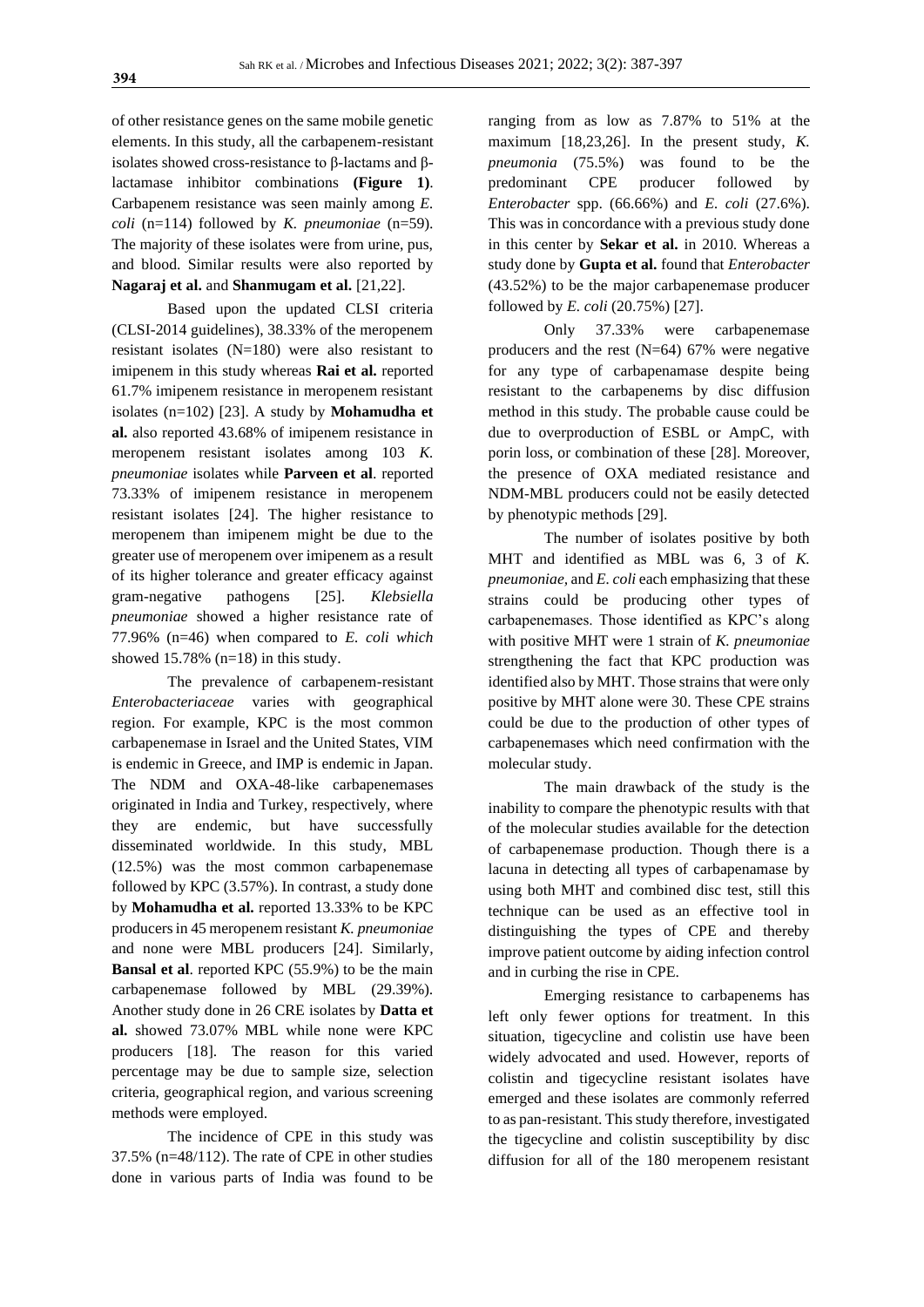of other resistance genes on the same mobile genetic elements. In this study, all the carbapenem-resistant isolates showed cross-resistance to β-lactams and βlactamase inhibitor combinations **(Figure 1)**. Carbapenem resistance was seen mainly among *E. coli* (n=114) followed by *K. pneumoniae* (n=59). The majority of these isolates were from urine, pus, and blood. Similar results were also reported by **Nagaraj et al.** and **Shanmugam et al.** [21,22].

Based upon the updated CLSI criteria (CLSI-2014 guidelines), 38.33% of the meropenem resistant isolates (N=180) were also resistant to imipenem in this study whereas **Rai et al.** reported 61.7% imipenem resistance in meropenem resistant isolates (n=102) [23]. A study by **Mohamudha et al.** also reported 43.68% of imipenem resistance in meropenem resistant isolates among 103 *K. pneumoniae* isolates while **Parveen et al**. reported 73.33% of imipenem resistance in meropenem resistant isolates [24]. The higher resistance to meropenem than imipenem might be due to the greater use of meropenem over imipenem as a result of its higher tolerance and greater efficacy against gram-negative pathogens [25]. *Klebsiella pneumoniae* showed a higher resistance rate of 77.96% (n=46) when compared to *E. coli which*  showed 15.78% (n=18) in this study.

The prevalence of carbapenem-resistant *Enterobacteriaceae* varies with geographical region. For example, KPC is the most common carbapenemase in Israel and the United States, VIM is endemic in Greece, and IMP is endemic in Japan. The NDM and OXA-48-like carbapenemases originated in India and Turkey, respectively, where they are endemic, but have successfully disseminated worldwide. In this study, MBL (12.5%) was the most common carbapenemase followed by KPC (3.57%). In contrast, a study done by **Mohamudha et al.** reported 13.33% to be KPC producers in 45 meropenem resistant *K. pneumoniae* and none were MBL producers [24]. Similarly, **Bansal et al**. reported KPC (55.9%) to be the main carbapenemase followed by MBL (29.39%). Another study done in 26 CRE isolates by **Datta et al.** showed 73.07% MBL while none were KPC producers [18]. The reason for this varied percentage may be due to sample size, selection criteria, geographical region, and various screening methods were employed.

The incidence of CPE in this study was 37.5% (n=48/112). The rate of CPE in other studies done in various parts of India was found to be

ranging from as low as 7.87% to 51% at the maximum [18,23,26]. In the present study, *K. pneumonia* (75.5%) was found to be the predominant CPE producer followed by *Enterobacter* spp. (66.66%) and *E. coli* (27.6%). This was in concordance with a previous study done in this center by **Sekar et al.** in 2010*.* Whereas a study done by **Gupta et al.** found that *Enterobacter*  (43.52%) to be the major carbapenemase producer followed by *E. coli* (20.75%) [27].

Only 37.33% were carbapenemase producers and the rest (N=64) 67% were negative for any type of carbapenamase despite being resistant to the carbapenems by disc diffusion method in this study. The probable cause could be due to overproduction of ESBL or AmpC, with porin loss, or combination of these [28]. Moreover, the presence of OXA mediated resistance and NDM-MBL producers could not be easily detected by phenotypic methods [29].

The number of isolates positive by both MHT and identified as MBL was 6, 3 of *K. pneumoniae,* and *E. coli* each emphasizing that these strains could be producing other types of carbapenemases. Those identified as KPC's along with positive MHT were 1 strain of *K. pneumoniae* strengthening the fact that KPC production was identified also by MHT. Those strains that were only positive by MHT alone were 30. These CPE strains could be due to the production of other types of carbapenemases which need confirmation with the molecular study.

The main drawback of the study is the inability to compare the phenotypic results with that of the molecular studies available for the detection of carbapenemase production. Though there is a lacuna in detecting all types of carbapenamase by using both MHT and combined disc test, still this technique can be used as an effective tool in distinguishing the types of CPE and thereby improve patient outcome by aiding infection control and in curbing the rise in CPE.

Emerging resistance to carbapenems has left only fewer options for treatment. In this situation, tigecycline and colistin use have been widely advocated and used. However, reports of colistin and tigecycline resistant isolates have emerged and these isolates are commonly referred to as pan-resistant. This study therefore, investigated the tigecycline and colistin susceptibility by disc diffusion for all of the 180 meropenem resistant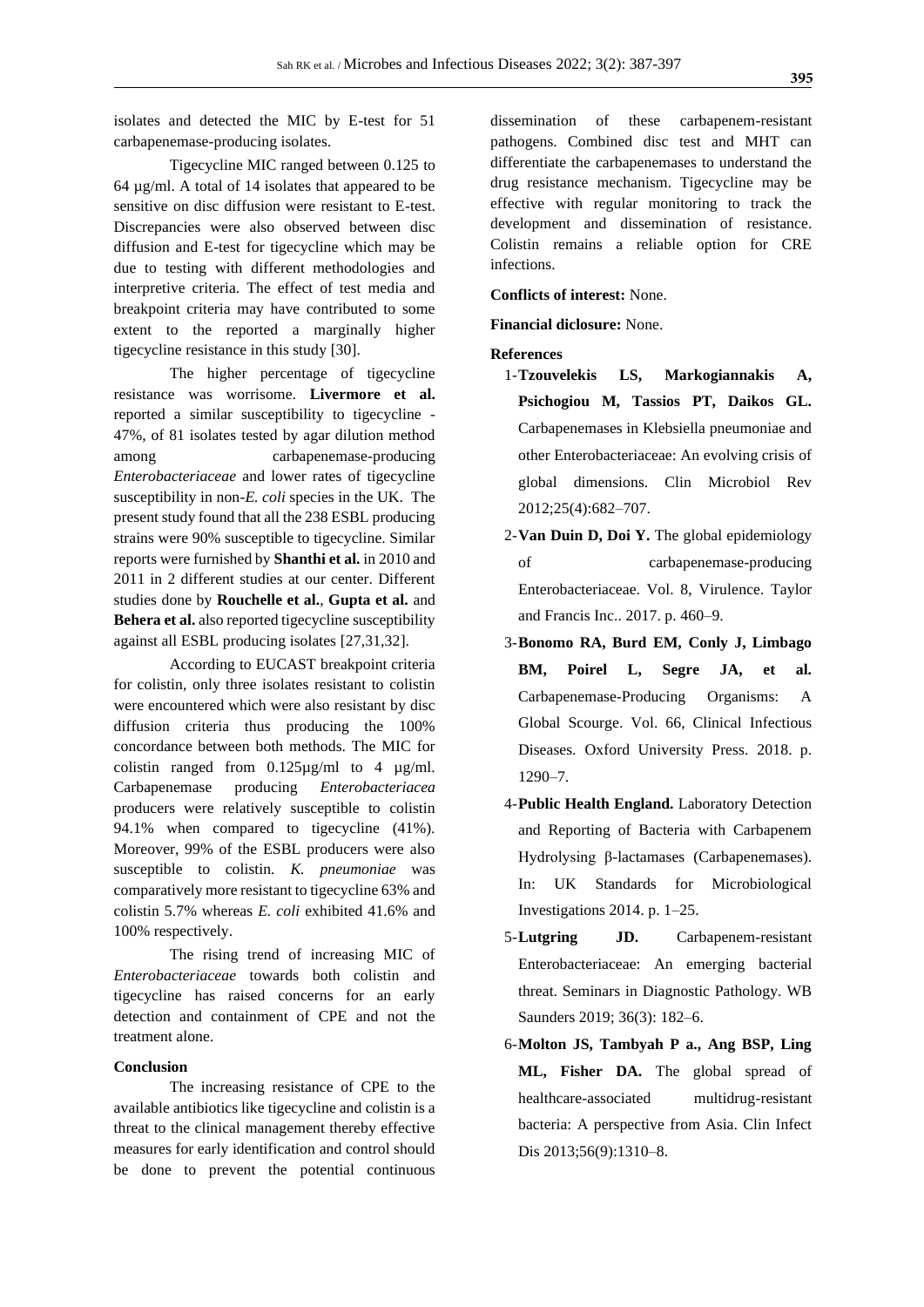isolates and detected the MIC by E-test for 51 carbapenemase-producing isolates.

Tigecycline MIC ranged between 0.125 to 64 µg/ml. A total of 14 isolates that appeared to be sensitive on disc diffusion were resistant to E-test. Discrepancies were also observed between disc diffusion and E-test for tigecycline which may be due to testing with different methodologies and interpretive criteria. The effect of test media and breakpoint criteria may have contributed to some extent to the reported a marginally higher tigecycline resistance in this study [30].

The higher percentage of tigecycline resistance was worrisome. **Livermore et al.** reported a similar susceptibility to tigecycline - 47%, of 81 isolates tested by agar dilution method among carbapenemase-producing *Enterobacteriaceae* and lower rates of tigecycline susceptibility in non-*E. coli* species in the UK. The present study found that all the 238 ESBL producing strains were 90% susceptible to tigecycline. Similar reports were furnished by **Shanthi et al.** in 2010 and 2011 in 2 different studies at our center. Different studies done by **Rouchelle et al.**, **Gupta et al.** and **Behera et al.** also reported tigecycline susceptibility against all ESBL producing isolates [27,31,32].

According to EUCAST breakpoint criteria for colistin, only three isolates resistant to colistin were encountered which were also resistant by disc diffusion criteria thus producing the 100% concordance between both methods. The MIC for colistin ranged from  $0.125\mu\text{g/ml}$  to 4  $\mu\text{g/ml}$ . Carbapenemase producing *Enterobacteriacea* producers were relatively susceptible to colistin 94.1% when compared to tigecycline (41%). Moreover, 99% of the ESBL producers were also susceptible to colistin. *K. pneumoniae* was comparatively more resistant to tigecycline 63% and colistin 5.7% whereas *E. coli* exhibited 41.6% and 100% respectively.

The rising trend of increasing MIC of *Enterobacteriaceae* towards both colistin and tigecycline has raised concerns for an early detection and containment of CPE and not the treatment alone.

#### **Conclusion**

The increasing resistance of CPE to the available antibiotics like tigecycline and colistin is a threat to the clinical management thereby effective measures for early identification and control should be done to prevent the potential continuous dissemination of these carbapenem-resistant pathogens. Combined disc test and MHT can differentiate the carbapenemases to understand the drug resistance mechanism. Tigecycline may be effective with regular monitoring to track the development and dissemination of resistance. Colistin remains a reliable option for CRE infections.

**Conflicts of interest:** None.

**Financial diclosure:** None.

# **References**

- 1-**Tzouvelekis LS, Markogiannakis A, Psichogiou M, Tassios PT, Daikos GL.** Carbapenemases in Klebsiella pneumoniae and other Enterobacteriaceae: An evolving crisis of global dimensions. Clin Microbiol Rev 2012;25(4):682–707.
- 2-**Van Duin D, Doi Y.** The global epidemiology of carbapenemase-producing Enterobacteriaceae. Vol. 8, Virulence. Taylor and Francis Inc.. 2017. p. 460–9.
- 3-**Bonomo RA, Burd EM, Conly J, Limbago BM, Poirel L, Segre JA, et al.**  Carbapenemase-Producing Organisms: A Global Scourge. Vol. 66, Clinical Infectious Diseases. Oxford University Press. 2018. p. 1290–7.
- 4-**Public Health England.** Laboratory Detection and Reporting of Bacteria with Carbapenem Hydrolysing β-lactamases (Carbapenemases). In: UK Standards for Microbiological Investigations 2014. p. 1–25.
- 5-**Lutgring JD.** Carbapenem-resistant Enterobacteriaceae: An emerging bacterial threat. Seminars in Diagnostic Pathology. WB Saunders 2019; 36(3): 182–6.
- 6-**Molton JS, Tambyah P a., Ang BSP, Ling ML, Fisher DA.** The global spread of healthcare-associated multidrug-resistant bacteria: A perspective from Asia. Clin Infect Dis 2013;56(9):1310–8.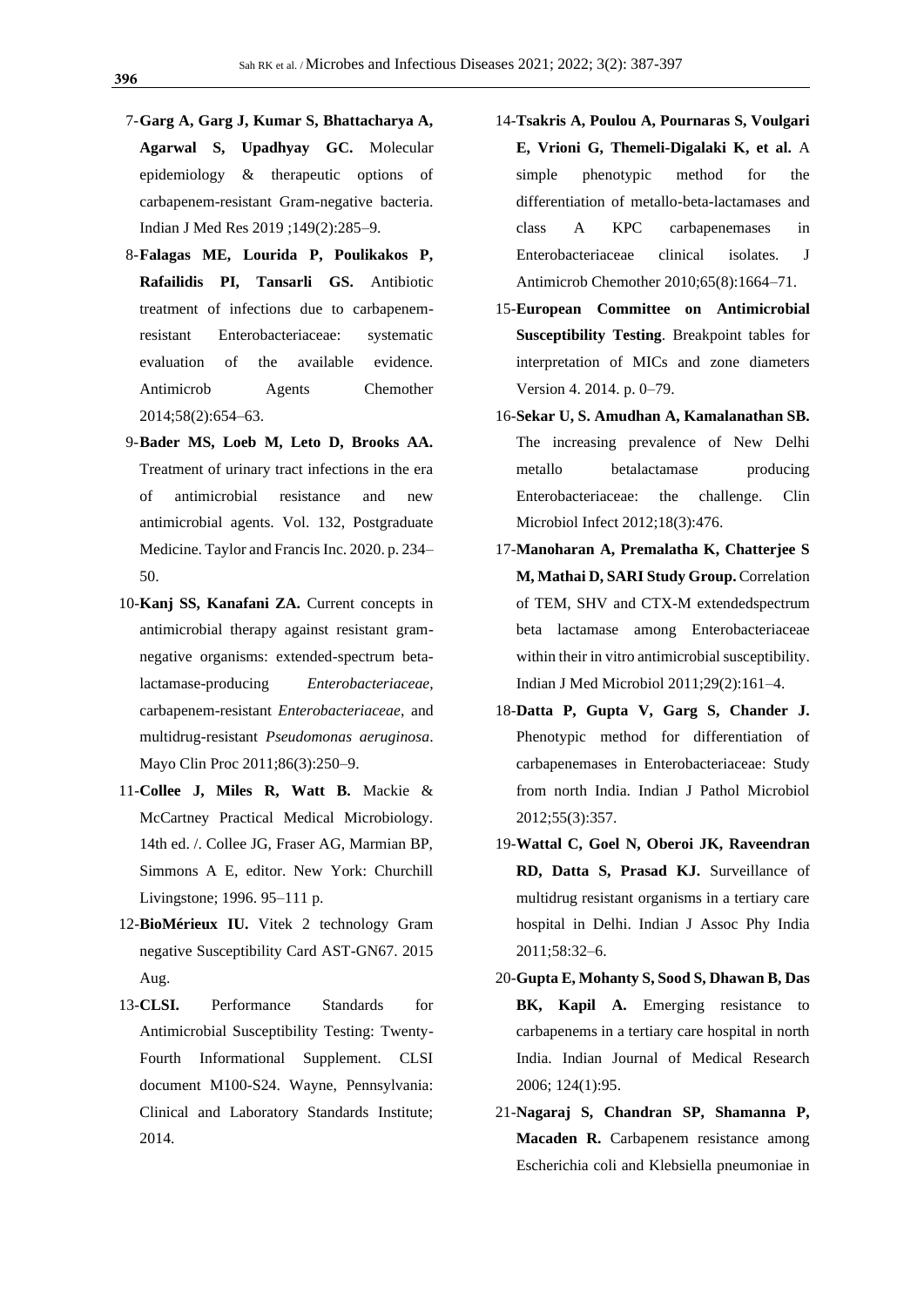- 7-**Garg A, Garg J, Kumar S, Bhattacharya A, Agarwal S, Upadhyay GC.** Molecular epidemiology & therapeutic options of carbapenem-resistant Gram-negative bacteria. Indian J Med Res 2019 ;149(2):285–9.
- 8-**Falagas ME, Lourida P, Poulikakos P, Rafailidis PI, Tansarli GS.** Antibiotic treatment of infections due to carbapenemresistant Enterobacteriaceae: systematic evaluation of the available evidence. Antimicrob Agents Chemother 2014;58(2):654–63.
- 9-**Bader MS, Loeb M, Leto D, Brooks AA.** Treatment of urinary tract infections in the era of antimicrobial resistance and new antimicrobial agents. Vol. 132, Postgraduate Medicine. Taylor and Francis Inc. 2020. p. 234– 50.
- 10-**Kanj SS, Kanafani ZA.** Current concepts in antimicrobial therapy against resistant gramnegative organisms: extended-spectrum betalactamase-producing *Enterobacteriaceae*, carbapenem-resistant *Enterobacteriaceae*, and multidrug-resistant *Pseudomonas aeruginosa*. Mayo Clin Proc 2011;86(3):250–9.
- 11-**Collee J, Miles R, Watt B.** Mackie & McCartney Practical Medical Microbiology. 14th ed. /. Collee JG, Fraser AG, Marmian BP, Simmons A E, editor. New York: Churchill Livingstone; 1996. 95–111 p.
- 12-**BioMérieux IU.** Vitek 2 technology Gram negative Susceptibility Card AST-GN67. 2015 Aug.
- 13-**CLSI.** Performance Standards for Antimicrobial Susceptibility Testing: Twenty-Fourth Informational Supplement. CLSI document M100-S24. Wayne, Pennsylvania: Clinical and Laboratory Standards Institute; 2014.
- 14-**Tsakris A, Poulou A, Pournaras S, Voulgari E, Vrioni G, Themeli-Digalaki K, et al.** A simple phenotypic method for the differentiation of metallo-beta-lactamases and class A KPC carbapenemases in Enterobacteriaceae clinical isolates. J Antimicrob Chemother 2010;65(8):1664–71.
- 15-**European Committee on Antimicrobial Susceptibility Testing**. Breakpoint tables for interpretation of MICs and zone diameters Version 4. 2014. p. 0–79.
- 16-**Sekar U, S. Amudhan A, Kamalanathan SB.** The increasing prevalence of New Delhi metallo betalactamase producing Enterobacteriaceae: the challenge. Clin Microbiol Infect 2012;18(3):476.
- 17-**Manoharan A, Premalatha K, Chatterjee S M, Mathai D, SARI Study Group.** Correlation of TEM, SHV and CTX-M extendedspectrum beta lactamase among Enterobacteriaceae within their in vitro antimicrobial susceptibility. Indian J Med Microbiol 2011;29(2):161–4.
- 18-**Datta P, Gupta V, Garg S, Chander J.** Phenotypic method for differentiation of carbapenemases in Enterobacteriaceae: Study from north India. Indian J Pathol Microbiol 2012;55(3):357.
- 19-**Wattal C, Goel N, Oberoi JK, Raveendran RD, Datta S, Prasad KJ.** Surveillance of multidrug resistant organisms in a tertiary care hospital in Delhi. Indian J Assoc Phy India 2011;58:32–6.
- 20-**Gupta E, Mohanty S, Sood S, Dhawan B, Das**  BK, Kapil A. Emerging resistance to carbapenems in a tertiary care hospital in north India. Indian Journal of Medical Research 2006; 124(1):95.
- 21-**Nagaraj S, Chandran SP, Shamanna P, Macaden R.** Carbapenem resistance among Escherichia coli and Klebsiella pneumoniae in